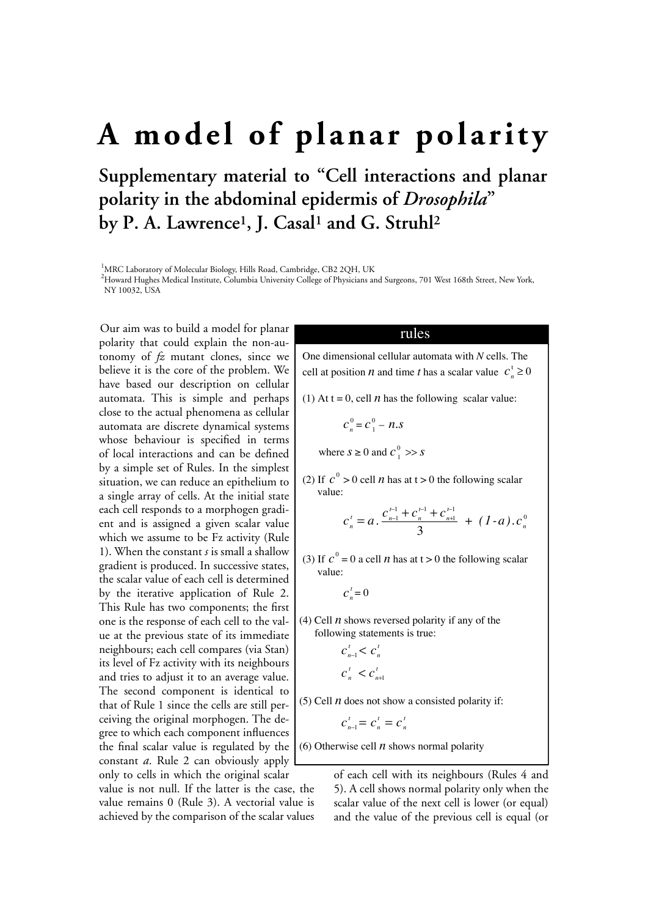## **A model of planar polarity**

**Supplementary material to "Cell interactions and planar polarity in the abdominal epidermis of** *Drosophila***" by P. A. Lawrence1, J. Casal1 and G. Struhl2**

<sup>1</sup>MRC Laboratory of Molecular Biology, Hills Road, Cambridge, CB2 2QH, UK

2 Howard Hughes Medical Institute, Columbia University College of Physicians and Surgeons, 701 West 168th Street, New York, NY 10032, USA

Our aim was to build a model for planar polarity that could explain the non-autonomy of *fz* mutant clones, since we believe it is the core of the problem. We have based our description on cellular automata. This is simple and perhaps close to the actual phenomena as cellular automata are discrete dynamical systems whose behaviour is specified in terms of local interactions and can be defined by a simple set of Rules. In the simplest situation, we can reduce an epithelium to a single array of cells. At the initial state each cell responds to a morphogen gradient and is assigned a given scalar value which we assume to be Fz activity (Rule 1). When the constant *s* is small a shallow gradient is produced. In successive states, the scalar value of each cell is determined by the iterative application of Rule 2. This Rule has two components; the first one is the response of each cell to the value at the previous state of its immediate neighbours; each cell compares (via Stan) its level of Fz activity with its neighbours and tries to adjust it to an average value. The second component is identical to that of Rule 1 since the cells are still perceiving the original morphogen. The degree to which each component influences the final scalar value is regulated by the constant *a*. Rule 2 can obviously apply only to cells in which the original scalar

value is not null. If the latter is the case, the value remains 0 (Rule 3). A vectorial value is achieved by the comparison of the scalar values

## rules

One dimensional cellular automata with *N* cells. The cell at position *n* and time *t* has a scalar value  $c_n^t \ge 0$ 

(1) At  $t = 0$ , cell *n* has the following scalar value:

$$
c_n^0 = c_1^0 - n.s
$$

where  $s \geq 0$  and  $c_1^0 \gg s$ 

(2) If  $c^0 > 0$  cell *n* has at t > 0 the following scalar value:

$$
c_n^t = a \cdot \frac{c_{n-1}^{t-1} + c_n^{t-1} + c_{n+1}^{t-1}}{3} + (1-a) \cdot c_n^0
$$

(3) If  $c^0 = 0$  a cell *n* has at  $t > 0$  the following scalar value:

$$
C_n^t=0
$$

(4) Cell  $n$  shows reversed polarity if any of the following statements is true:

$$
c_{n-1}^t < c_n^t
$$
\n
$$
c_n^t < c_{n+1}^t
$$

(5) Cell  $n$  does not show a consisted polarity if:

$$
c_{n-1}^t = c_n^t = c_n^t
$$

(6) Otherwise cell *n* shows normal polarity

of each cell with its neighbours (Rules 4 and 5). A cell shows normal polarity only when the scalar value of the next cell is lower (or equal) and the value of the previous cell is equal (or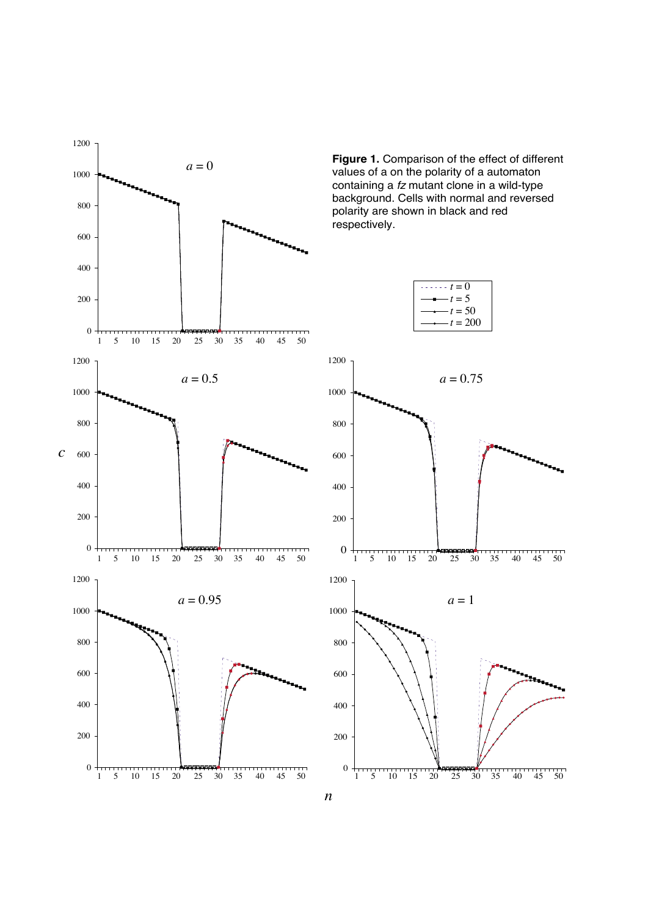

**Figure 1.** Comparison of the effect of different values of a on the polarity of a automaton containing a  *mutant clone in a wild-type* background. Cells with normal and reversed polarity are shown in black and red respectively.



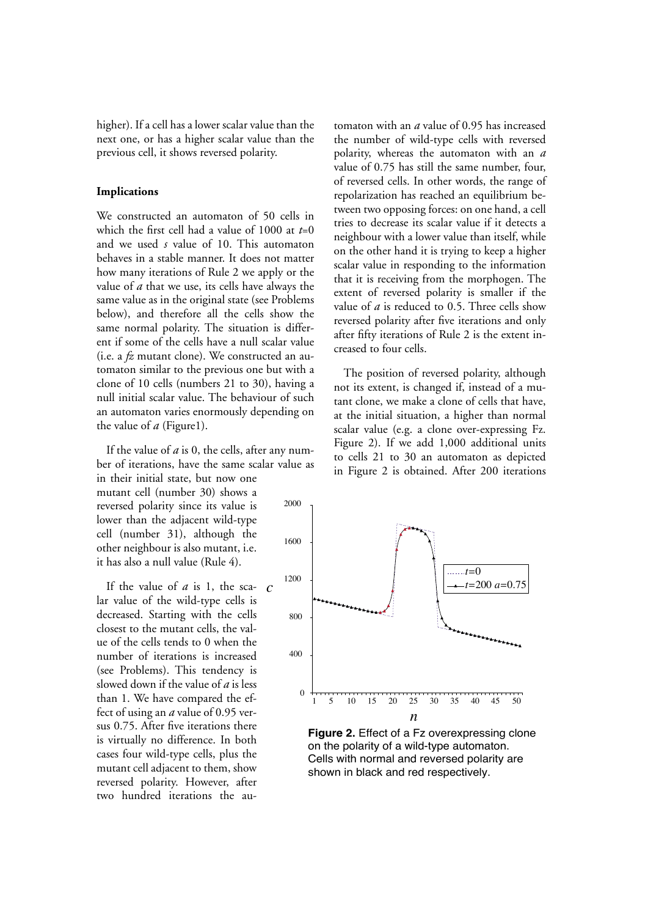higher). If a cell has a lower scalar value than the next one, or has a higher scalar value than the previous cell, it shows reversed polarity.

## **Implications**

We constructed an automaton of 50 cells in which the first cell had a value of 1000 at *t*=0 and we used *s* value of 10. This automaton behaves in a stable manner. It does not matter how many iterations of Rule 2 we apply or the value of *a* that we use, its cells have always the same value as in the original state (see Problems below), and therefore all the cells show the same normal polarity. The situation is different if some of the cells have a null scalar value (i.e. a *fz* mutant clone). We constructed an automaton similar to the previous one but with a clone of 10 cells (numbers 21 to 30), having a null initial scalar value. The behaviour of such an automaton varies enormously depending on the value of *a* (Figure1).

If the value of *a* is 0, the cells, after any number of iterations, have the same scalar value as in their initial state, but now one mutant cell (number 30) shows a reversed polarity since its value is lower than the adjacent wild-type cell (number 31), although the other neighbour is also mutant, i.e. it has also a null value (Rule 4). 2000

If the value of  $a$  is 1, the sca-  $c$ lar value of the wild-type cells is decreased. Starting with the cells closest to the mutant cells, the value of the cells tends to 0 when the number of iterations is increased (see Problems). This tendency is slowed down if the value of *a* is less than 1. We have compared the effect of using an *a* value of 0.95 versus 0.75. After five iterations there is virtually no difference. In both cases four wild-type cells, plus the mutant cell adjacent to them, show reversed polarity. However, after two hundred iterations the au-

tomaton with an *a* value of 0.95 has increased the number of wild-type cells with reversed polarity, whereas the automaton with an *a* value of 0.75 has still the same number, four, of reversed cells. In other words, the range of repolarization has reached an equilibrium between two opposing forces: on one hand, a cell tries to decrease its scalar value if it detects a neighbour with a lower value than itself, while on the other hand it is trying to keep a higher scalar value in responding to the information that it is receiving from the morphogen. The extent of reversed polarity is smaller if the value of *a* is reduced to 0.5. Three cells show reversed polarity after five iterations and only after fifty iterations of Rule 2 is the extent increased to four cells.

The position of reversed polarity, although not its extent, is changed if, instead of a mutant clone, we make a clone of cells that have, at the initial situation, a higher than normal scalar value (e.g. a clone over-expressing Fz. Figure 2). If we add 1,000 additional units to cells 21 to 30 an automaton as depicted in Figure 2 is obtained. After 200 iterations



**Figure 2.** Effect of a Fz overexpressing clone on the polarity of a wild-type automaton. Cells with normal and reversed polarity are shown in black and red respectively.